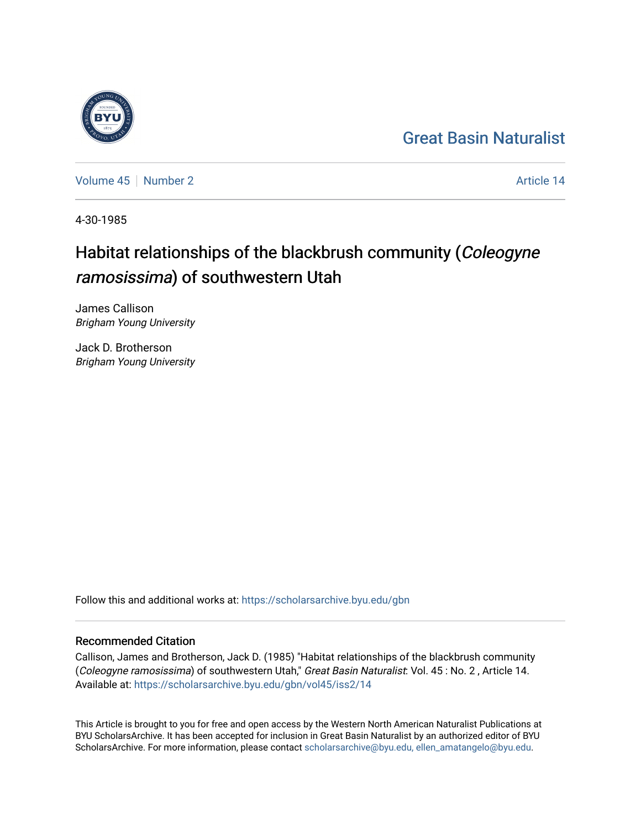## [Great Basin Naturalist](https://scholarsarchive.byu.edu/gbn)

[Volume 45](https://scholarsarchive.byu.edu/gbn/vol45) | [Number 2](https://scholarsarchive.byu.edu/gbn/vol45/iss2) Article 14

4-30-1985

# Habitat relationships of the blackbrush community (Coleogyne ramosissima) of southwestern Utah

James Callison Brigham Young University

Jack D. Brotherson Brigham Young University

Follow this and additional works at: [https://scholarsarchive.byu.edu/gbn](https://scholarsarchive.byu.edu/gbn?utm_source=scholarsarchive.byu.edu%2Fgbn%2Fvol45%2Fiss2%2F14&utm_medium=PDF&utm_campaign=PDFCoverPages) 

### Recommended Citation

Callison, James and Brotherson, Jack D. (1985) "Habitat relationships of the blackbrush community (Coleogyne ramosissima) of southwestern Utah," Great Basin Naturalist: Vol. 45 : No. 2 , Article 14. Available at: [https://scholarsarchive.byu.edu/gbn/vol45/iss2/14](https://scholarsarchive.byu.edu/gbn/vol45/iss2/14?utm_source=scholarsarchive.byu.edu%2Fgbn%2Fvol45%2Fiss2%2F14&utm_medium=PDF&utm_campaign=PDFCoverPages) 

This Article is brought to you for free and open access by the Western North American Naturalist Publications at BYU ScholarsArchive. It has been accepted for inclusion in Great Basin Naturalist by an authorized editor of BYU ScholarsArchive. For more information, please contact [scholarsarchive@byu.edu, ellen\\_amatangelo@byu.edu.](mailto:scholarsarchive@byu.edu,%20ellen_amatangelo@byu.edu)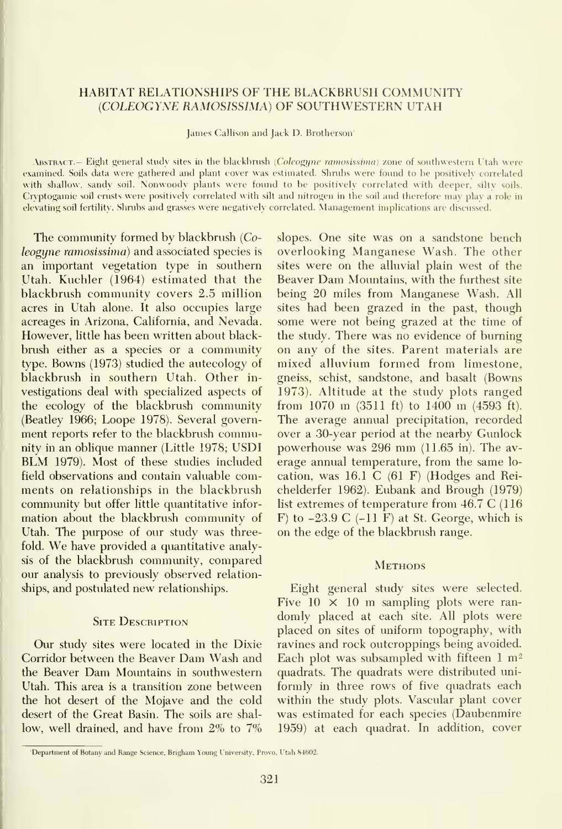#### HABITAT RELATIONSHIPS OF THE BLACKBRUSH COMMUNITY {COLEOGYNE RAMOSISSIMA) OF SOUTHWESTERN UTAH

James Callison and Jack D. Brotherson'

ABSTRACT.— Eight general study sites in the blackbrush (Coleogyne ramosissima) zone of southwestern Utah were examined. Soils data were gathered and plant cover was estimated. Shrubs were found to he positively correlated with shallow, sandy soil. Nonwoody plants were found to be positively correlated with deeper, silty soils. Cryptogamic soil crusts were positively correlated with silt and nitrogen in the soil and therefore may plav <sup>a</sup> role in elevating soil fertility. Shrubs and grasses were negatively correlated. Management implications are discussed.

The community formed by blackbrush {Coleogyne ramosissima) and associated species is an important vegetation type in southern Utah. Kuchler (1964) estimated that the blackbrush community covers 2.5 million acres in Utah alone. It also occupies large acreages in Arizona, California, and Nevada. However, little has been written about black brush either as a species or a community type. Bowns (1973) studied the autecology of blackbrush in southern Utah. Other in vestigations deal with specialized aspects of the ecology of the blackbrush community (Beatley 1966; Loope 1978). Several govern ment reports refer to the blackbrush community in an oblique manner (Little 1978; USDI BLM 1979). Most of these studies included field observations and contain valuable comments on relationships in the blackbrush commimity but offer little quantitative infor mation about the blackbrush community of Utah. The purpose of our study was threefold. We have provided <sup>a</sup> quantitative analysis of the blackbrush community, compared our analysis to previously observed relationships, and postulated new relationships.

#### **SITE DESCRIPTION**

Our study sites were located in the Dixie Corridor between the Beaver Dam Wash and the Beaver Dam Momitains in southwestern Utah. This area is a transition zone between the hot desert of the Mojave and the cold desert of the Great Basin. The soils are shal low, well drained, and have from  $2\%$  to  $7\%$  slopes. One site was on a sandstone bench overlooking Manganese Wash. The other sites were on the alluvial plain west of the Beaver Dam Mountains, with the furthest site being 20 miles from Manganese Wash. All sites had been grazed in the past, though some were not being grazed at the time of the study. There was no evidence of burning on any of the sites. Parent materials are mixed alluvium formed from limestone, gneiss, schist, sandstone, and basalt (Bowns 1973). Altitude at the study plots ranged from <sup>1070</sup> m (3511 ft) to <sup>1400</sup> m (4593 ft). The average annual precipitation, recorded over a 30-year period at the nearby Gunlock powerhouse was <sup>296</sup> mm (11.65 in). The av erage annual temperature, from the same lo cation, was 16.1 C (61 F) (Hodges and Rei chelderfer 1962). Eubank and Brough (1979) list extremes of temperature from 46.7 C (116  $F$ ) to  $-23.9$  C  $(-11)$  F at St. George, which is on the edge of the blackbrush range.

#### **METHODS**

Eight general study sites were selected. Five  $10 \times 10$  m sampling plots were randomly placed at each site. All plots were placed on sites of uniform topography, with ravines and rock outcroppings being avoided. Each plot was subsampled with fifteen  $1 \text{ m}^2$ quadrats. The quadrats were distributed uni formly in three rows of five quadrats each within the study plots. Vascular plant cover was estimated for each species (Daubenmire 1959) at each quadrat. In addition, cover

<sup>&#</sup>x27;Department of Botany and Range Science, Brigham Young I'niversity. Provo, I'tah S4602.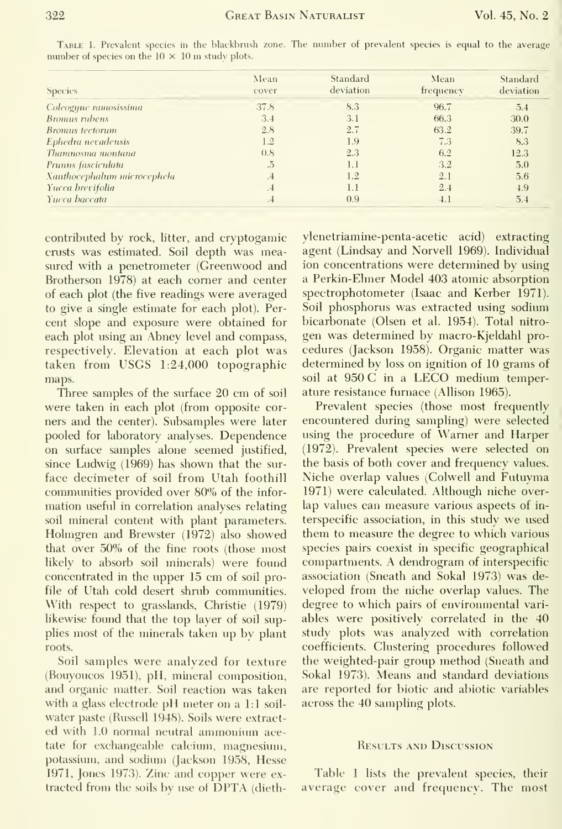| <b>Species</b>              | Mean<br>cover | Standard<br>deviation | Mean<br>frequency | Standard<br>deviation |
|-----------------------------|---------------|-----------------------|-------------------|-----------------------|
| Coleogyne ramosissima       | 37.8          | 8.3                   | 96.7              | 5.4                   |
| <b>Bromus</b> rubens        | 3.4           | 3.1                   | 66.3              | 30.0                  |
| <b>Bromus</b> tectorum      | 2.8           | 2.7                   | 63.2              | 39.7                  |
| Ephedra nevadensis          | 1.2           | 1.9                   | 7.3               | 8.3                   |
| Thamnosma montana           | 0.8           | 2.3                   | 6.2               | 12.3                  |
| Prunus fasciculata          | .5            | 1.1                   | 3.2               | 5.0                   |
| Xanthocephalum microcephela | .4            | 1.2                   | 2.1               | 5.6                   |
| Yucca brevifolia            | $\cdot$ -4    | 1.1                   | 2.4               | 4.9                   |
| Yucca baccata               | $\cdot$       | 0.9                   | 4.1               | 5.4                   |

TABLE 1. Prevalent species in the blackbrush zone. The number of prevalent species is equal to the average number of species on the  $10 \times 10$  m study plots.

contributed by rock, litter, and cryptogamic crusts was estimated. Soil depth was measured with a penetrometer (Greenwood and Brotherson 1978) at each corner and center of each plot (the five readings were averaged to give a single estimate for each plot). Percent slope and exposure were obtained for each plot using an Abney level and compass, respectively. Elevation at each plot was taken from USGS 1:24,000 topographic maps.

Three samples of the surface 20 cm of soil were taken in each plot (from opposite corners and the center). Subsamples were later pooled for laboratory analyses. Dependence on surface samples alone seemed justified, since Ludwig (1969) has shown that the surface decimeter of soil from Utah foothill communities provided over 80% of the information useful in correlation analyses relating soil mineral content with plant parameters. Holmgren and Brewster (1972) also showed that over 50% of the fine roots (those most likely to absorb soil minerals) were found concentrated in the upper 15 cm of soil profile of Utah cold desert shrub communities. With respect to grasslands, Christie (1979) likewise found that the top layer of soil supplies most of the minerals taken up by plant roots.

Soil samples were analyzed for texture (Bouyoucos 1951), pH, mineral composition, and organic matter. Soil reaction was taken with a glass electrode pH meter on a 1:1 soilwater paste (Russell 1948). Soils were extracted with 1.0 normal neutral ammonium acetate for exchangeable calcium, magnesium, potassium, and sodium (Jackson 1958, Hesse 1971, Jones 1973). Zinc and copper were extracted from the soils by use of DPTA (diethylenetriamine-penta-acetic acid) extracting agent (Lindsay and Norvell 1969). Individual ion concentrations were determined by using a Perkin-Elmer Model 403 atomic absorption spectrophotometer (Isaac and Kerber 1971). Soil phosphorus was extracted using sodium bicarbonate (Olsen et al. 1954). Total nitrogen was determined by macro-Kjeldahl procedures (Jackson 1958). Organic matter was determined by loss on ignition of 10 grams of soil at 950 C in a LECO medium temperature resistance furnace (Allison 1965).

Prevalent species (those most frequently encountered during sampling) were selected using the procedure of Warner and Harper (1972). Prevalent species were selected on the basis of both cover and frequency values. Niche overlap values (Colwell and Futuyma 1971) were calculated. Although niche overlap values can measure various aspects of interspecific association, in this study we used them to measure the degree to which various species pairs coexist in specific geographical compartments. A dendrogram of interspecific association (Sneath and Sokal 1973) was developed from the niche overlap values. The degree to which pairs of environmental variables were positively correlated in the 40 study plots was analyzed with correlation coefficients. Clustering procedures followed the weighted-pair group method (Sneath and Sokal 1973). Means and standard deviations are reported for biotic and abiotic variables across the 40 sampling plots.

#### **RESULTS AND DISCUSSION**

Table 1 lists the prevalent species, their average cover and frequency. The most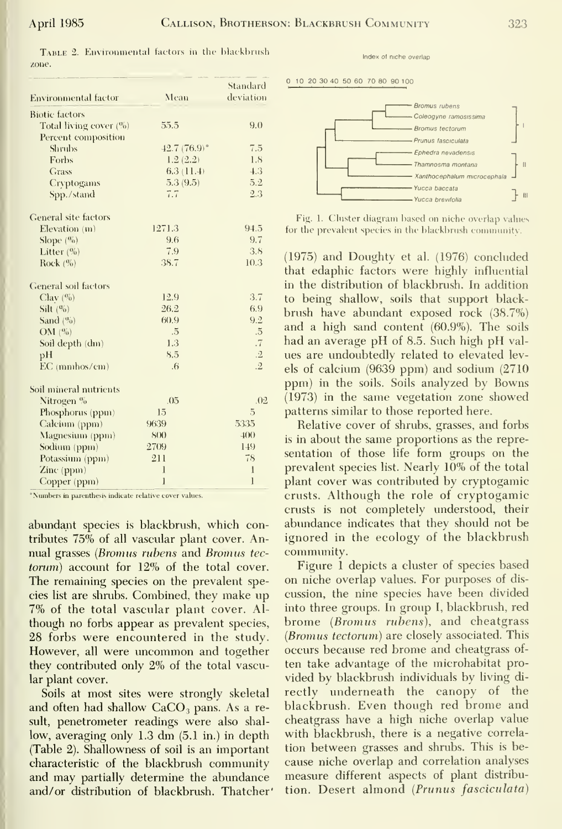TABLE 2. Environmental factors in the blackbrush zone.

| <b>Environmental factor</b> | Mean             | Standard<br>deviation |  |
|-----------------------------|------------------|-----------------------|--|
| <b>Biotic</b> factors       |                  |                       |  |
| Total living cover $(%)$    | 55.5             | 9.0                   |  |
| Percent composition         |                  |                       |  |
| <b>Shrubs</b>               | $42.7(76.9)$ °   | 7.5                   |  |
| Forbs                       | 1.8<br>1.2(2.2)  |                       |  |
| Grass                       | 4.3<br>6.3(11.4) |                       |  |
| Cryptogams                  | 5.3(9.5)         | 5.2                   |  |
| Spp./stand                  | 7.7              | 2.3                   |  |
| General site factors        |                  |                       |  |
| Elevation (m)               | 1271.3           | 94.5                  |  |
| Slope $(\frac{a_0}{b})$     | 9.6              | 9.7                   |  |
| Litter $(\%)$               | 7.9              | 3.8                   |  |
| Rock $(\%)$                 | 38.7             | 10.3                  |  |
| General soil factors        |                  |                       |  |
| Clav $(\%)$                 | 12.9             | 3.7                   |  |
| Silt $(%)$                  | 26.2             | 6.9                   |  |
| Sand $(%)$                  | 60.9             | 9.2                   |  |
| OM $(\%)$                   | .5               | $\overline{5}$        |  |
| Soil depth (dm)             | 1.3              | .7                    |  |
| pH                          | 8.5              | $.2\,$                |  |
| EC (mmhos/cm)               | 6 <sub>6</sub>   | $\cdot$ <sup>2</sup>  |  |
| Soil mineral nutrients      |                  |                       |  |
| Nitrogen %                  | .05              | .02                   |  |
| Phosphorus (ppm)            | 15               | $\overline{5}$        |  |
| Calcium (ppm)               | 9639             | 5335                  |  |
| Magnesium (ppm)             | S(X)             | $+00$                 |  |
| Sodium (ppm)                | 2709             | 149                   |  |
| Potassium (ppm)             | 211              | 78                    |  |
| $Zinc$ (ppm)                | 1                | $\mathbf{I}$          |  |
| Copper (ppm)                | $\mathbf{I}$     | $\mathbf{1}$          |  |

\*Numbers in parenthesis indicate relative cover values.

abundant species is blackbrush, which contributes 75% of all vascular plant cover. Annual grasses (Bromus rubens and Bromus tectorum) account for 12% of the total cover. The remaining species on the prevalent species list are shrubs. Combined, they make up 7% of the total vascular plant cover. Although no forbs appear as prevalent species, 28 forbs were encountered in the study. However, all were uncommon and together they contributed only 2% of the total vascular plant cover.

Soils at most sites were strongly skeletal and often had shallow CaCO<sub>3</sub> pans. As a result, penetrometer readings were also shallow, averaging only 1.3 dm (5.1 in.) in depth (Table 2). Shallowness of soil is an important characteristic of the blackbrush community and may partially determine the abundance and/or distribution of blackbrush. Thatcher' Index of niche overlap

10 20 30 40 50 60 70 80 90 100



Fig. 1. Cluster diagram based on niche overlap values for the prevalent species in the blackbrush community.

(1975) and Doughty et al. (1976) concluded that edaphic factors were highly influential in the distribution of blackbrush. In addition to being shallow, soils that support blackbrush have abundant exposed rock (38.7%) and a high sand content (60.9%). The soils had an average pH of 8.5. Such high pH values are undoubtedly related to elevated levels of calcium  $(9639$  ppm) and sodium  $(2710)$ ppm) in the soils. Soils analyzed by Bowns  $(1973)$  in the same vegetation zone showed patterns similar to those reported here.

Relative cover of shrubs, grasses, and forbs is in about the same proportions as the representation of those life form groups on the prevalent species list. Nearly 10% of the total plant cover was contributed by cryptogamic crusts. Although the role of cryptogamic crusts is not completely understood, their abundance indicates that they should not be ignored in the ecology of the blackbrush community.

Figure 1 depicts a cluster of species based on niche overlap values. For purposes of discussion, the nine species have been divided into three groups. In group I, blackbrush, red brome (Bromus rubens), and cheatgrass (Bromus tectorum) are closely associated. This occurs because red brome and cheatgrass often take advantage of the microhabitat provided by blackbrush individuals by living directly underneath the canopy of the blackbrush. Even though red brome and cheatgrass have a high niche overlap value with blackbrush, there is a negative correlation between grasses and shrubs. This is because niche overlap and correlation analyses measure different aspects of plant distribution. Desert almond (Prunus fasciculata)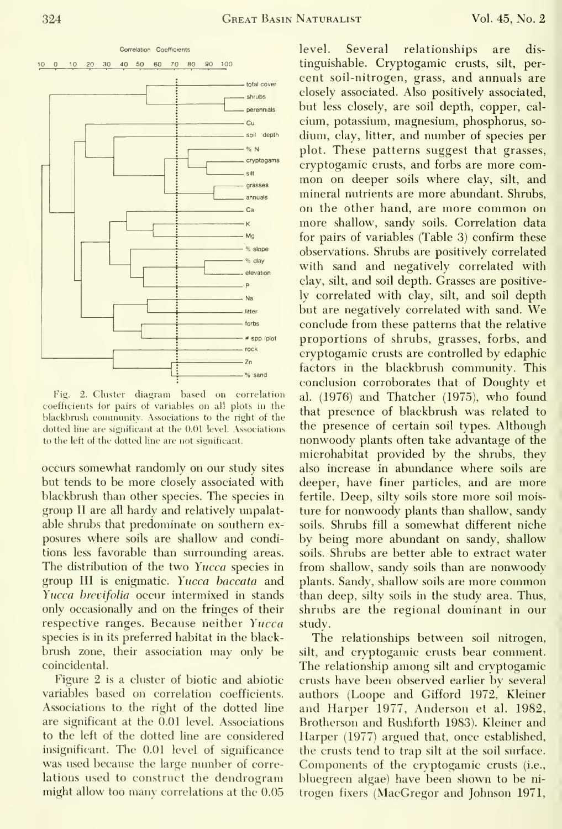

Fig. 2. Cluster diagram based on correlation coefficients for pairs of variables on all plots in the blackbrush community. Associations to the right of the dotted line are significant at the 0.01 level. Associations to the left of the dotted line are not significant.

occurs somewhat randomly on our study sites but tends to be more closely associated with blackbrush than other species. The species in group II are all hardy and relatively unpalatable shrubs that predominate on southern ex posures where soils are shallow and conditions less favorable than surrounding areas. The distribution of the two Yucca species in group III is enigmatic. Yucca haccata and Yucca brevifolia occur intermixed in stands only occasionally and on the fringes of their respective ranges. Because neither Yucca species is in its preferred habitat in the black brush zone, their association may only be coincidental.

Figure 2 is a cluster of biotic and abiotic variables based on correlation coefficients. Associations to the right of the dotted line are significant at the 0.01 level. Associations to the left of the dotted line are considered insignificant. The 0.01 level of significance was used because the large number of correlations used to construct the dendrogram might allow too many correlations at the 0.05 level. Several relationships are dis tinguishable. Cryptogamic crusts, silt, per cent soil-nitrogen, grass, and annuals are closely associated. Also positively associated, but less closely, are soil depth, copper, cal cium, potassium, magnesium, phosphorus, so dium, clay, litter, and number of species per plot. These patterns suggest that grasses, cryptogamic crusts, and forbs are more com mon on deeper soils where clay, silt, and mineral nutrients are more abundant. Shrubs, on the other hand, are more common on more shallow, sandy soils. Correlation data for pairs of variables (Table 3) confirm these observations. Shrubs are positively correlated with sand and negatively correlated with clay, silt, and soil depth. Grasses are positively correlated with clay, silt, and soil depth but are negatively correlated with sand. We conclude from these patterns that the relative proportions of shrubs, grasses, forbs, and cryptogamic crusts are controlled by edaphic factors in the blackbrush community. This conclusion corroborates that of Doughty et al. (1976) and Thatcher (1975), who found that presence of blackbrush was related to the presence of certain soil types. Although nonwoody plants often take advantage of the microhabitat provided by the shrubs, they also increase in abundance where soils are deeper, have finer particles, and are more fertile. Deep, silty soils store more soil moisture for nonwoody plants than shallow, sandy soils. Shrubs fill a somewhat different niche by being more abundant on sandy, shallow soils. Shrubs are better able to extract water from shallow, sandy soils than are nonwoody plants. Sandy, shallow soils are more common than deep, silty soils in the study area. Thus, shrubs are the regional dominant in our study.

The relationships between soil nitrogen, silt, and cryptogamic crusts bear comment. The relationship among silt and cryptogamic crusts have been observed earlier by several authors (Loope and Gifford 1972, Kleiner and Harper 1977, Anderson et al. 1982, Brotherson and Rushforth 1983). Kleiner and Harper (1977) argued that, once established, the crusts tend to trap silt at the soil surface. Components of the crvptogamic crusts (i.e., bluegreen algae) have been shown to be ni trogen fixers (MacGregor and Johnson 1971,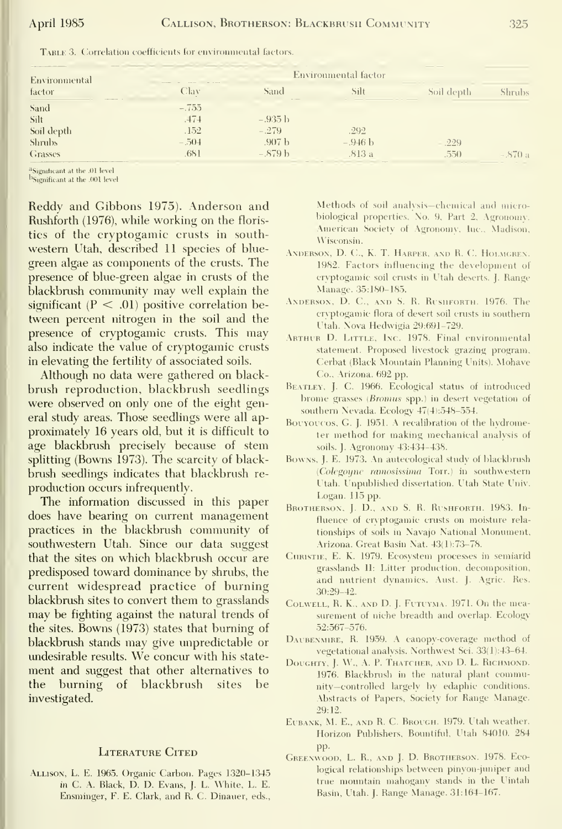| the property of the control and<br>Environmental | Environmental factor |                   |           |            |        |
|--------------------------------------------------|----------------------|-------------------|-----------|------------|--------|
| factor                                           | Clav                 | Sand              | Silt      | Soil depth | shrubs |
| Sand                                             | $-.755$              |                   |           |            |        |
| Silt                                             | .474                 | $-.935$ b         |           |            |        |
| Soil depth                                       | .152                 | $-.279$           | .292      |            |        |
| <b>Shrubs</b>                                    | $-.504$              | .907 <sub>b</sub> | $-.946 b$ | .229       |        |
| Grasses                                          | .681                 | $-.879b$          | .813 a    | .550       | '() a  |

TABLE 3. Correlation coefficients for environmental factors.

<sup>a</sup>Significant at the .01 level b<sub>Significant at the .001</sub> level

Reddy and Gibbons 1975). Anderson and Rushforth (1976), while working on the floristics of the cryptogamic crusts in southwestern Utah, described 11 species of bluegreen algae as components of the crusts. The presence of blue-green algae in crusts of the blackbrush community may well explain the significant ( $P < .01$ ) positive correlation between percent nitrogen in the soil and the presence of cryptogamic crusts. This may also indicate the value of cryptogamic crusts in elevating the fertility of associated soils.

Although no data were gathered on blackbrush reproduction, blackbrush seedlings were observed on only one of the eight general study areas. Those seedlings were all approximately 16 years old, but it is difficult to age blackbrush precisely because of stem splitting (Bowns 1973). The scarcity of blackbrush seedlings indicates that blackbrush reproduction occurs infrequently.

The information discussed in this paper does have bearing on current management practices in the blackbrush community of southwestern Utah. Since our data suggest that the sites on which blackbrush occur are predisposed toward dominance by shrubs, the current widespread practice of burning blackbrush sites to convert them to grasslands may be fighting against the natural trends of the sites. Bowns (1973) states that burning of blackbrush stands may give unpredictable or undesirable results. We concur with his statement and suggest that other alternatives to the burning of blackbrush sites be investigated.

#### **LITERATURE CITED**

ALLISON, L. E. 1965. Organic Carbon. Pages 1320-1345 in C. A. Black, D. D. Evans, J. L. White, L. E. Ensminger, F. E. Clark, and R. C. Dinauer, eds.,

Methods of soil analysis-chemical and microbiological properties. No. 9, Part 2, Agronomy. American Society of Agronomy, Inc., Madison, Wisconsin.

- ANDERSON, D. C., K. T. HARPER, AND R. C. HOLMGREN. 1982. Factors influencing the development of cryptogamic soil crusts in Utah deserts. J. Range Manage. 35:180-185.
- ANDERSON, D. C., AND S. R. RUSHFORTH. 1976. The cryptogamic flora of desert soil crusts in southern Utah. Nova Hedwigia 29:691-729.
- ARTHUR D. LITTLE, INC. 1978. Final environmental statement. Proposed livestock grazing program, Cerbat (Black Mountain Planning Units). Mohave Co., Arizona. 692 pp.
- BEATLEY, J. C. 1966. Ecological status of introduced brome grasses (Bromus spp.) in desert vegetation of southern Nevada. Ecology 47(4):548-554.
- BOUYOUCOS, G. J. 1951. A recalibration of the hydrometer method for making mechanical analysis of soils. J. Agronomy 43:434-438.
- Bowns, J. E. 1973. An autecological study of blackbrush (Colegoyne ramosissima Torr.) in southwestern Utah. Unpublished dissertation. Utah State Univ. Logan. 115 pp.
- BROTHERSON, J. D., AND S. R. RUSHFORTH. 1983. Influence of cryptogamic crusts on moisture relationships of soils in Navajo National Monument, Arizona. Great Basin Nat. 43(1):73-78.
- CHRISTIE, E. K. 1979. Ecosystem processes in semiarid grasslands 11: Litter production, decomposition, and nutrient dynamics. Aust. J. Agric. Res.  $30:29 - 42$
- COLWELL, R. K., AND D. J. FUTUYMA. 1971. On the measurement of niche breadth and overlap. Ecology 52:567-576.
- DAUBENMIRE, R. 1959. A canopy-coverage method of vegetational analysis. Northwest Sci. 33(1):43-64.
- DOUGHTY, J. W., A. P. THATCHER, AND D. L. RICHMOND. 1976. Blackbrush in the natural plant community-controlled largely by edaphic conditions. Abstracts of Papers, Society for Range Manage. 29:12.
- EUBANK, M. E., AND R. C. BROUGH. 1979. Utah weather. Horizon Publishers, Bountiful, Utah 84010. 284 pp.
- GREENWOOD, L. R., AND J. D. BROTHERSON. 1978. ECOlogical relationships between pinyon-juniper and true mountain mahogany stands in the Uintah Basin, Utah. J. Range Manage. 31:164-167.